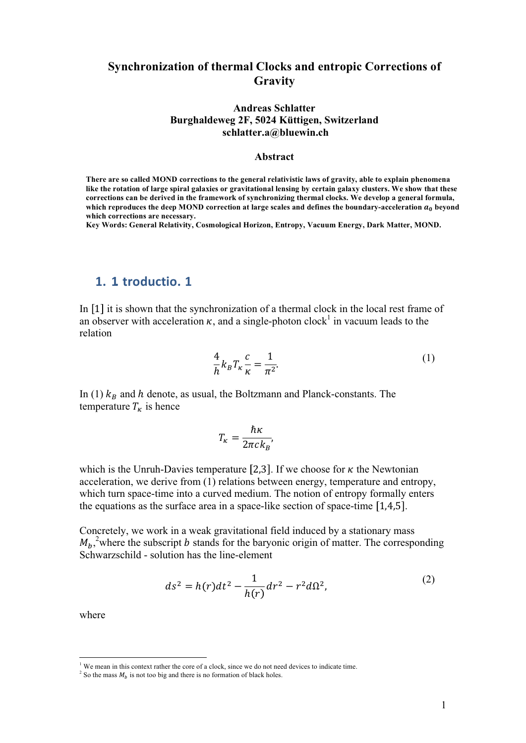### **Synchronization of thermal Clocks and entropic Corrections of Gravity**

#### **Andreas Schlatter Burghaldeweg 2F, 5024 Küttigen, Switzerland schlatter.a@bluewin.ch**

#### **Abstract**

**There are so called MOND corrections to the general relativistic laws of gravity, able to explain phenomena like the rotation of large spiral galaxies or gravitational lensing by certain galaxy clusters. We show that these corrections can be derived in the framework of synchronizing thermal clocks. We develop a general formula,**  which reproduces the deep MOND correction at large scales and defines the boundary-acceleration  $a_0$  beyond **which corrections are necessary.**

**Key Words: General Relativity, Cosmological Horizon, Entropy, Vacuum Energy, Dark Matter, MOND.** 

# 1. 1 troductio. 1

In [1] it is shown that the synchronization of a thermal clock in the local rest frame of an observer with acceleration  $\kappa$ , and a single-photon clock<sup>1</sup> in vacuum leads to the relation

$$
\frac{4}{h}k_B T_{\kappa} \frac{c}{\kappa} = \frac{1}{\pi^2}.
$$
 (1)

In (1)  $k_B$  and h denote, as usual, the Boltzmann and Planck-constants. The temperature  $T_{\kappa}$  is hence

$$
T_{\kappa} = \frac{\hbar \kappa}{2\pi c k_B},
$$

which is the Unruh-Davies temperature [2,3]. If we choose for  $\kappa$  the Newtonian acceleration, we derive from (1) relations between energy, temperature and entropy, which turn space-time into a curved medium. The notion of entropy formally enters the equations as the surface area in a space-like section of space-time  $[1,4,5]$ .

Concretely, we work in a weak gravitational field induced by a stationary mass  $M_b$ <sup>2</sup>, where the subscript b stands for the baryonic origin of matter. The corresponding Schwarzschild - solution has the line-element

$$
ds^{2} = h(r)dt^{2} - \frac{1}{h(r)}dr^{2} - r^{2}d\Omega^{2},
$$
\n(2)

where

 $1$  We mean in this context rather the core of a clock, since we do not need devices to indicate time.

<sup>&</sup>lt;sup>2</sup> So the mass  $M_b$  is not too big and there is no formation of black holes.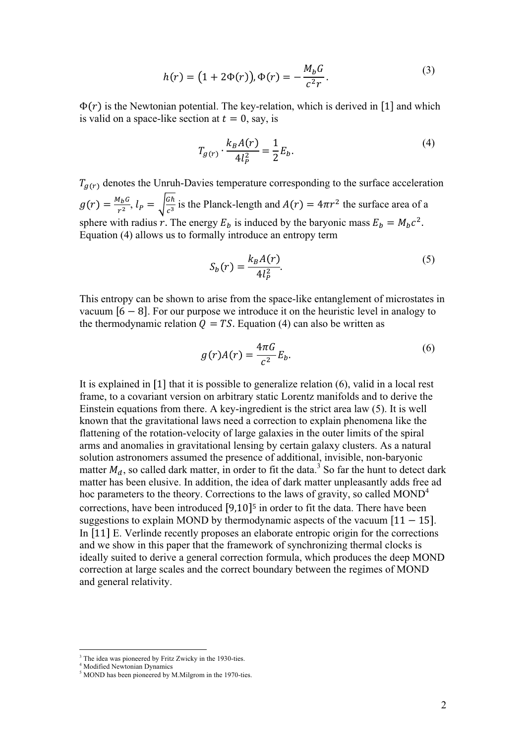$$
h(r) = (1 + 2\Phi(r)), \Phi(r) = -\frac{M_b G}{c^2 r}.
$$
 (3)

 $\Phi(r)$  is the Newtonian potential. The key-relation, which is derived in [1] and which is valid on a space-like section at  $t = 0$ , say, is

$$
T_{g(r)} \cdot \frac{k_B A(r)}{4l_P^2} = \frac{1}{2} E_b.
$$
 (4)

 $T_{q(r)}$  denotes the Unruh-Davies temperature corresponding to the surface acceleration  $g(r) = \frac{M_b G}{r^2}$ ,  $l_p = \sqrt{\frac{G\hbar}{c^3}}$  is the Planck-length and  $A(r) = 4\pi r^2$  the surface area of a sphere with radius r. The energy  $E_b$  is induced by the baryonic mass  $E_b = M_b c^2$ . Equation (4) allows us to formally introduce an entropy term

$$
S_b(r) = \frac{k_B A(r)}{4l_p^2}.\tag{5}
$$

This entropy can be shown to arise from the space-like entanglement of microstates in vacuum  $\overline{6} - 8$ ]. For our purpose we introduce it on the heuristic level in analogy to the thermodynamic relation  $\overline{Q} = TS$ . Equation (4) can also be written as

$$
g(r)A(r) = \frac{4\pi G}{c^2}E_b.
$$
 (6)

It is explained in  $[1]$  that it is possible to generalize relation  $(6)$ , valid in a local rest frame, to a covariant version on arbitrary static Lorentz manifolds and to derive the Einstein equations from there. A key-ingredient is the strict area law (5). It is well known that the gravitational laws need a correction to explain phenomena like the flattening of the rotation-velocity of large galaxies in the outer limits of the spiral arms and anomalies in gravitational lensing by certain galaxy clusters. As a natural solution astronomers assumed the presence of additional, invisible, non-baryonic matter  $M_d$ , so called dark matter, in order to fit the data.<sup>3</sup> So far the hunt to detect dark matter has been elusive. In addition, the idea of dark matter unpleasantly adds free ad hoc parameters to the theory. Corrections to the laws of gravity, so called  $MOND<sup>4</sup>$ corrections, have been introduced  $[9,10]$ <sup>5</sup> in order to fit the data. There have been suggestions to explain MOND by thermodynamic aspects of the vacuum  $[11 - 15]$ . In [11] E. Verlinde recently proposes an elaborate entropic origin for the corrections and we show in this paper that the framework of synchronizing thermal clocks is ideally suited to derive a general correction formula, which produces the deep MOND correction at large scales and the correct boundary between the regimes of MOND and general relativity.

<sup>&</sup>lt;sup>3</sup> The idea was pioneered by Fritz Zwicky in the 1930-ties.

<sup>4</sup> Modified Newtonian Dynamics

<sup>&</sup>lt;sup>5</sup> MOND has been pioneered by M.Milgrom in the 1970-ties.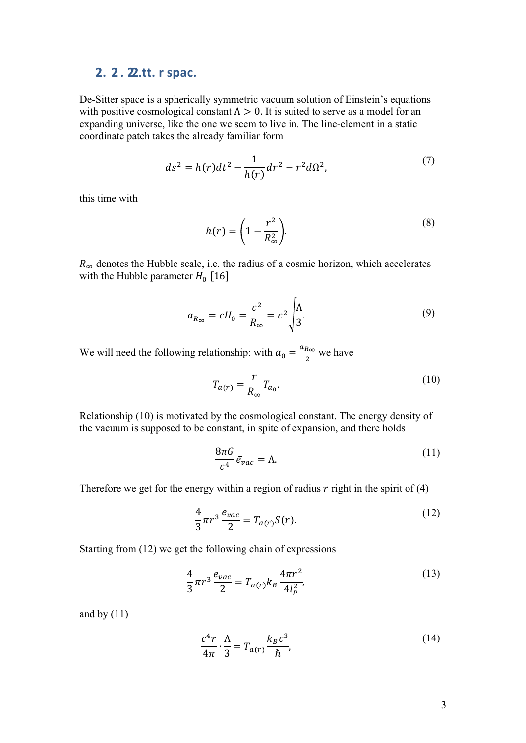## **2. 2. 2.tt. r spac.**

De-Sitter space is a spherically symmetric vacuum solution of Einstein's equations with positive cosmological constant  $\Lambda > 0$ . It is suited to serve as a model for an expanding universe, like the one we seem to live in. The line-element in a static coordinate patch takes the already familiar form

$$
ds^{2} = h(r)dt^{2} - \frac{1}{h(r)}dr^{2} - r^{2}d\Omega^{2},
$$
\n(7)

this time with

$$
h(r) = \left(1 - \frac{r^2}{R_{\infty}^2}\right).
$$
\n(8)

 $R_{\infty}$  denotes the Hubble scale, i.e. the radius of a cosmic horizon, which accelerates with the Hubble parameter  $H_0$  [16

$$
a_{R_{\infty}} = cH_0 = \frac{c^2}{R_{\infty}} = c^2 \sqrt{\frac{\Lambda}{3}}.
$$
\n(9)

We will need the following relationship: with  $a_0 = \frac{a_{R_{\infty}}}{2}$  we have

$$
T_{a(r)} = \frac{r}{R_{\infty}} T_{a_0}.
$$
\n(10)

Relationship (10) is motivated by the cosmological constant. The energy density of the vacuum is supposed to be constant, in spite of expansion, and there holds

$$
\frac{8\pi G}{c^4}\bar{e}_{vac} = \Lambda.
$$
 (11)

Therefore we get for the energy within a region of radius  $r$  right in the spirit of (4)

$$
\frac{4}{3}\pi r^3 \frac{\bar{e}_{vac}}{2} = T_{a(r)}S(r). \tag{12}
$$

Starting from (12) we get the following chain of expressions

$$
\frac{4}{3}\pi r^3 \frac{\bar{e}_{vac}}{2} = T_{a(r)} k_B \frac{4\pi r^2}{4l_p^2},\tag{13}
$$

and by  $(11)$ 

$$
\frac{c^4r}{4\pi} \cdot \frac{\Lambda}{3} = T_{a(r)} \frac{k_B c^3}{\hbar},\tag{14}
$$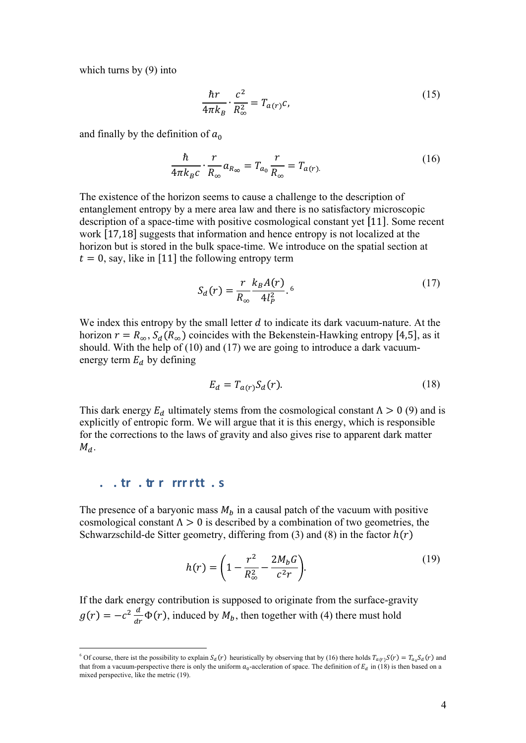which turns by (9) into

$$
\frac{\hbar r}{4\pi k_B} \cdot \frac{c^2}{R_\infty^2} = T_{a(r)}c,\tag{15}
$$

and finally by the definition of  $a_0$ 

$$
\frac{\hbar}{4\pi k_{B}c} \cdot \frac{r}{R_{\infty}} a_{R_{\infty}} = T_{a_{0}} \frac{r}{R_{\infty}} = T_{a(r)}.
$$
\n(16)

The existence of the horizon seems to cause a challenge to the description of entanglement entropy by a mere area law and there is no satisfactory microscopic description of a space-time with positive cosmological constant yet  $[11]$ . Some recent work  $[17,18]$  suggests that information and hence entropy is not localized at the horizon but is stored in the bulk space-time. We introduce on the spatial section at  $t = 0$ , say, like in [11] the following entropy term

$$
S_d(r) = \frac{r}{R_{\infty}} \frac{k_B A(r)}{4l_p^2} . 6
$$
 (17)

We index this entropy by the small letter  $d$  to indicate its dark vacuum-nature. At the horizon  $r = R_{\infty}$ ,  $S_d(R_{\infty})$  coincides with the Bekenstein-Hawking entropy [4,5], as it should. With the help of (10) and (17) we are going to introduce a dark vacuumenergy term  $E_d$  by defining

$$
E_d = T_{a(r)} S_d(r). \tag{18}
$$

This dark energy  $E_d$  ultimately stems from the cosmological constant  $\Lambda > 0$  (9) and is explicitly of entropic form. We will argue that it is this energy, which is responsible for the corrections to the laws of gravity and also gives rise to apparent dark matter  $M_d$ .

### **-- -**

The presence of a baryonic mass  $M_b$  in a causal patch of the vacuum with positive cosmological constant  $\Lambda > 0$  is described by a combination of two geometries, the Schwarzschild-de Sitter geometry, differing from (3) and (8) in the factor  $h(r)$ 

$$
h(r) = \left(1 - \frac{r^2}{R_{\infty}^2} - \frac{2M_b G}{c^2 r}\right).
$$
 (19)

If the dark energy contribution is supposed to originate from the surface-gravity  $g(r) = -c^2 \frac{d}{dr} \Phi(r)$ , induced by  $M_b$ , then together with (4) there must hold

<sup>&</sup>lt;sup>6</sup> Of course, there ist the possibility to explain  $S_d(r)$  heuristically by observing that by (16) there holds  $T_{a(r)}S(r) = T_{a_0}S_d(r)$  and that from a vacuum-perspective there is only the uniform  $a_0$ -accleration of space. The definition of  $E_d$  in (18) is then based on a mixed perspective. like the metric (19).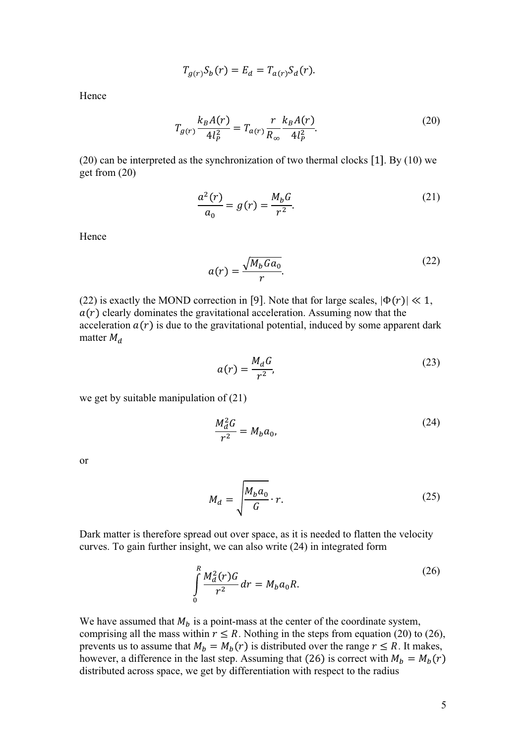$$
T_{g(r)}S_b(r) = E_d = T_{a(r)}S_d(r).
$$

Hence

$$
T_{g(r)} \frac{k_B A(r)}{4l_P^2} = T_{a(r)} \frac{r}{R_\infty} \frac{k_B A(r)}{4l_P^2}.
$$
 (20)

 $(20)$  can be interpreted as the synchronization of two thermal clocks [1]. By  $(10)$  we get from (20)

$$
\frac{a^2(r)}{a_0} = g(r) = \frac{M_b G}{r^2}.
$$
 (21)

Hence

$$
a(r) = \frac{\sqrt{M_b G a_0}}{r}.
$$
\n(22)

(22) is exactly the MOND correction in [9]. Note that for large scales,  $|\Phi(r)| \ll 1$ ,  $a(r)$  clearly dominates the gravitational acceleration. Assuming now that the acceleration  $a(r)$  is due to the gravitational potential, induced by some apparent dark matter  $M_d$ 

$$
a(r) = \frac{M_d G}{r^2},\tag{23}
$$

we get by suitable manipulation of (21)

$$
\frac{M_d^2 G}{r^2} = M_b a_0,\tag{24}
$$

or

$$
M_d = \sqrt{\frac{M_b a_0}{G}} \cdot r. \tag{25}
$$

Dark matter is therefore spread out over space, as it is needed to flatten the velocity curves. To gain further insight, we can also write (24) in integrated form

$$
\int_{0}^{R} \frac{M_a^2(r)G}{r^2} dr = M_b a_0 R.
$$
\n(26)

We have assumed that  $M_b$  is a point-mass at the center of the coordinate system, comprising all the mass within  $r \leq R$ . Nothing in the steps from equation (20) to (26), prevents us to assume that  $M_b = M_b(r)$  is distributed over the range  $r \le R$ . It makes, however, a difference in the last step. Assuming that (26) is correct with  $M_b = M_b(r)$ distributed across space, we get by differentiation with respect to the radius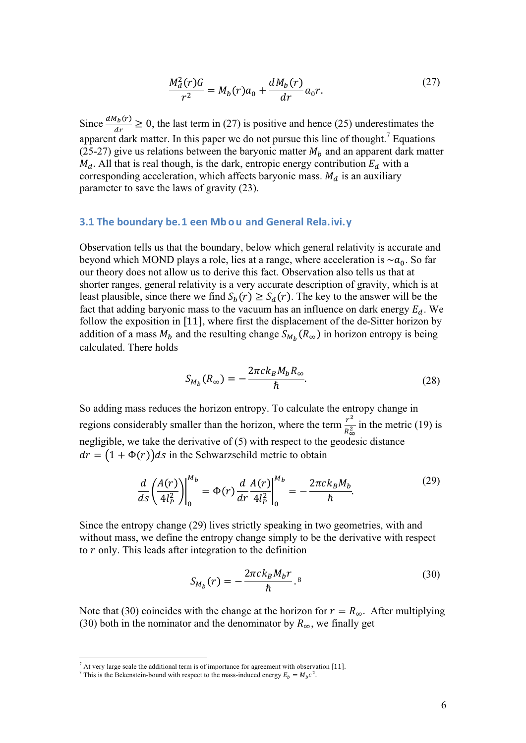$$
\frac{M_d^2(r)G}{r^2} = M_b(r)a_0 + \frac{dM_b(r)}{dr}a_0r.
$$
 (27)

Since  $\frac{dM_b(r)}{dr} \ge 0$ , the last term in (27) is positive and hence (25) underestimates the apparent dark matter. In this paper we do not pursue this line of thought.<sup>7</sup> Equations (25-27) give us relations between the baryonic matter  $M_b$  and an apparent dark matter  $M_d$ . All that is real though, is the dark, entropic energy contribution  $E_d$  with a corresponding acceleration, which affects baryonic mass.  $M_d$  is an auxiliary parameter to save the laws of gravity (23).

#### **3.1 The boundary be.1 een Mb o u and General Rela. ivi. v**

Observation tells us that the boundary, below which general relativity is accurate and beyond which MOND plays a role, lies at a range, where acceleration is  $\sim a_0$ . So far our theory does not allow us to derive this fact. Observation also tells us that at shorter ranges, general relativity is a very accurate description of gravity, which is at least plausible, since there we find  $S_b(r) \geq S_d(r)$ . The key to the answer will be the fact that adding baryonic mass to the vacuum has an influence on dark energy  $E_d$ . We follow the exposition in  $[11]$ , where first the displacement of the de-Sitter horizon by addition of a mass  $M_b$  and the resulting change  $S_{M_b}(R_\infty)$  in horizon entropy is being calculated. There holds

$$
S_{M_b}(R_{\infty}) = -\frac{2\pi c k_B M_b R_{\infty}}{\hbar}.
$$
\n(28)

So adding mass reduces the horizon entropy. To calculate the entropy change in regions considerably smaller than the horizon, where the term  $\frac{r^2}{R_{\infty}^2}$  in the metric (19) is negligible, we take the derivative of (5) with respect to the geodesic distance  $dr = (1 + \Phi(r))ds$  in the Schwarzschild metric to obtain

$$
\frac{d}{ds} \left(\frac{A(r)}{4l_P^2}\right)\Big|_0^{M_b} = \Phi(r) \frac{d}{dr} \frac{A(r)}{4l_P^2}\Big|_0^{M_b} = -\frac{2\pi c k_B M_b}{\hbar}.\tag{29}
$$

Since the entropy change (29) lives strictly speaking in two geometries, with and without mass, we define the entropy change simply to be the derivative with respect to  $r$  only. This leads after integration to the definition

$$
S_{M_b}(r) = -\frac{2\pi c k_B M_b r}{\hbar}.
$$
 (30)

Note that (30) coincides with the change at the horizon for  $r = R_{\infty}$ . After multiplying (30) both in the nominator and the denominator by  $R_{\infty}$ , we finally get

 $^7$  At very large scale the additional term is of importance for agreement with observation [11].

<sup>&</sup>lt;sup>8</sup> This is the Bekenstein-bound with respect to the mass-induced energy  $E_b = M_b c^2$ .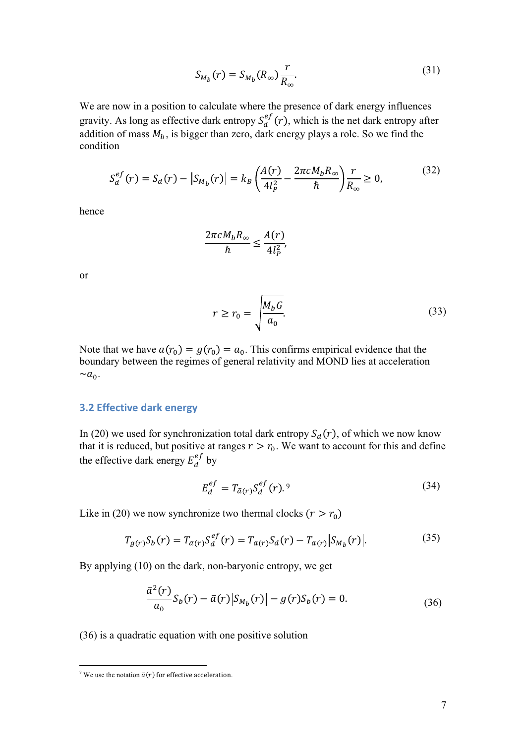$$
S_{M_b}(r) = S_{M_b}(R_{\infty}) \frac{r}{R_{\infty}}.
$$
\n(31)

We are now in a position to calculate where the presence of dark energy influences gravity. As long as effective dark entropy  $S_d^e$  $_{d}^{ef}(r)$ , which is the net dark entropy after addition of mass  $M_b$ , is bigger than zero, dark energy plays a role. So we find the condition

$$
S_d^{ef}(r) = S_d(r) - |S_{M_b}(r)| = k_B \left(\frac{A(r)}{4l_p^2} - \frac{2\pi c M_b R_\infty}{\hbar}\right) \frac{r}{R_\infty} \ge 0,
$$
(32)

hence

$$
\frac{2\pi cM_b R_{\infty}}{\hbar} \le \frac{A(r)}{4l_P^2},
$$

or

$$
r \ge r_0 = \sqrt{\frac{M_b G}{a_0}}.\tag{33}
$$

Note that we have  $a(r_0) = g(r_0) = a_0$ . This confirms empirical evidence that the boundary between the regimes of general relativity and MOND lies at acceleration  $\sim a_0$ .

### **3.2 Effective dark energy**

In (20) we used for synchronization total dark entropy  $S_d(r)$ , of which we now know that it is reduced, but positive at ranges  $r > r_0$ . We want to account for this and define the effective dark energy  $E_d^e$  $\int_a^{ef}$  by

$$
E_d^{ef} = T_{\bar{a}(r)} S_d^{ef}(r). \tag{34}
$$

Like in (20) we now synchronize two thermal clocks  $(r > r_0)$ 

$$
T_{g(r)}S_b(r) = T_{\bar{a}(r)}S_d^{ef}(r) = T_{\bar{a}(r)}S_d(r) - T_{\bar{a}(r)}|S_{M_b}(r)|.
$$
 (35)

By applying (10) on the dark, non-baryonic entropy, we get

$$
\frac{\bar{a}^2(r)}{a_0}S_b(r) - \bar{a}(r)|S_{M_b}(r)| - g(r)S_b(r) = 0.
$$
\n(36)

(36) is a quadratic equation with one positive solution

<sup>&</sup>lt;sup>9</sup> We use the notation  $\bar{a}(r)$  for effective acceleration.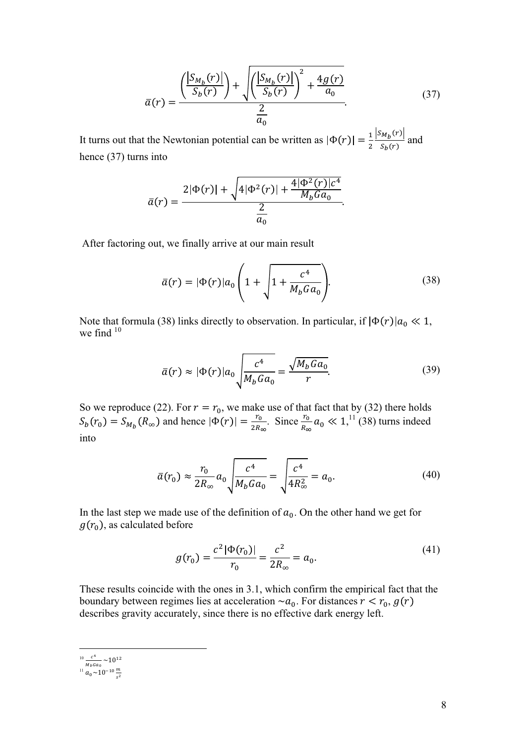$$
\bar{a}(r) = \frac{\left(\frac{|S_{M_b}(r)|}{S_b(r)}\right) + \sqrt{\left(\frac{|S_{M_b}(r)|}{S_b(r)}\right)^2 + \frac{4g(r)}{a_0}}}{\frac{2}{a_0}}.
$$
\n(37)

It turns out that the Newtonian potential can be written as  $|\Phi(r)| = \frac{1}{2}$  $\frac{S_{M_b}(r)}{S_b(r)}$  and hence (37) turns into

$$
\bar{a}(r) = \frac{2|\Phi(r)| + \sqrt{4|\Phi^2(r)| + \frac{4|\Phi^2(r)|c^4}{M_bGa_0}}}{\frac{2}{a_0}}.
$$

After factoring out, we finally arrive at our main result

$$
\bar{a}(r) = |\Phi(r)|a_0 \left(1 + \sqrt{1 + \frac{c^4}{M_b G a_0}}\right).
$$
 (38)

Note that formula (38) links directly to observation. In particular, if  $|\Phi(r)|a_0 \ll 1$ , we find  $10$ 

$$
\bar{a}(r) \approx |\Phi(r)|a_0 \sqrt{\frac{c^4}{M_b G a_0}} = \frac{\sqrt{M_b G a_0}}{r}.
$$
\n(39)

So we reproduce (22). For  $r = r_0$ , we make use of that fact that by (32) there holds  $S_b(r_0) = S_{M_b}(R_\infty)$  and hence  $|\Phi(r)| = \frac{r_0}{2R_\infty}$ . Since  $\frac{r_0}{R_\infty}$  $a_0 \ll 1$ ,<sup>11</sup> (38) turns indeed into

$$
\bar{a}(r_0) \approx \frac{r_0}{2R_{\infty}} a_0 \sqrt{\frac{c^4}{M_b G a_0}} = \sqrt{\frac{c^4}{4R_{\infty}^2}} = a_0.
$$
 (40)

In the last step we made use of the definition of  $a_0$ . On the other hand we get for  $g(r_0)$ , as calculated before

$$
g(r_0) = \frac{c^2 |\Phi(r_0)|}{r_0} = \frac{c^2}{2R_{\infty}} = a_0.
$$
 (41)

These results coincide with the ones in 3.1, which confirm the empirical fact that the boundary between regimes lies at acceleration  $\sim a_0$ . For distances  $r < r_0$ ,  $g(r)$ describes gravity accurately, since there is no effective dark energy left.

 $\frac{c^4}{M_b G a_0} \sim 10^{12}$ 

 $\frac{n_b - n_0}{a_0}$   $\sim$  10<sup>-10</sup>  $\frac{m}{s^2}$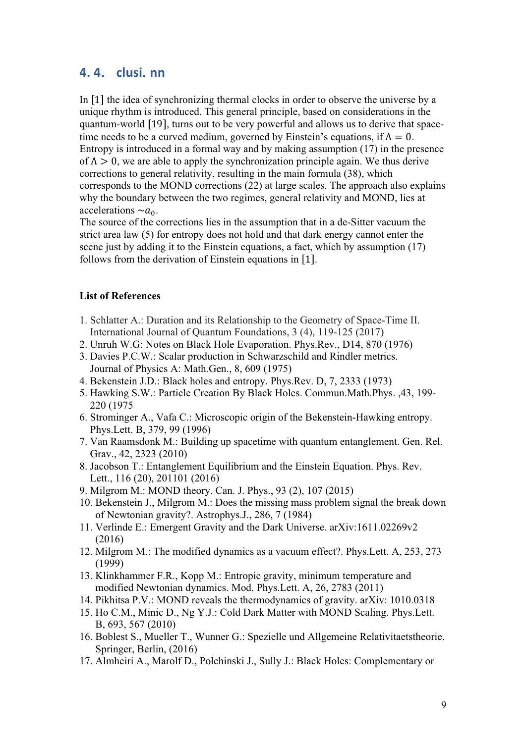# 4.4. clusi.nn

In [1] the idea of synchronizing thermal clocks in order to observe the universe by a unique rhythm is introduced. This general principle, based on considerations in the quantum-world [19], turns out to be very powerful and allows us to derive that spacetime needs to be a curved medium, governed by Einstein's equations, if  $\Lambda = 0$ . Entropy is introduced in a formal way and by making assumption (17) in the presence of  $\Lambda > 0$ , we are able to apply the synchronization principle again. We thus derive corrections to general relativity, resulting in the main formula (38), which corresponds to the MOND corrections (22) at large scales. The approach also explains why the boundary between the two regimes, general relativity and MOND, lies at accelerations  $\sim a_0$ .

The source of the corrections lies in the assumption that in a de-Sitter vacuum the strict area law (5) for entropy does not hold and that dark energy cannot enter the scene just by adding it to the Einstein equations, a fact, which by assumption (17) follows from the derivation of Einstein equations in [1].

#### **List of References**

- 1. Schlatter A.: Duration and its Relationship to the Geometry of Space-Time II. International Journal of Quantum Foundations, 3 (4), 119-125 (2017)
- 2. Unruh W.G: Notes on Black Hole Evaporation. Phys.Rev., D14, 870 (1976)
- 3. Davies P.C.W.: Scalar production in Schwarzschild and Rindler metrics. Journal of Physics A: Math.Gen., 8, 609 (1975)
- 4. Bekenstein J.D.: Black holes and entropy. Phys.Rev. D, 7, 2333 (1973)
- 5. Hawking S.W.: Particle Creation By Black Holes. Commun.Math.Phys. ,43, 199- 220 (1975
- 6. Strominger A., Vafa C.: Microscopic origin of the Bekenstein-Hawking entropy. Phys.Lett. B, 379, 99 (1996)
- 7. Van Raamsdonk M.: Building up spacetime with quantum entanglement. Gen. Rel. Grav., 42, 2323 (2010)
- 8. Jacobson T.: Entanglement Equilibrium and the Einstein Equation. Phys. Rev. Lett., 116 (20), 201101 (2016)
- 9. Milgrom M.: MOND theory. Can. J. Phys., 93 (2), 107 (2015)
- 10. Bekenstein J., Milgrom M.: Does the missing mass problem signal the break down of Newtonian gravity?. Astrophys.J., 286, 7 (1984)
- 11. Verlinde E.: Emergent Gravity and the Dark Universe. arXiv:1611.02269v2 (2016)
- 12. Milgrom M.: The modified dynamics as a vacuum effect?. Phys.Lett. A, 253, 273 (1999)
- 13. Klinkhammer F.R., Kopp M.: Entropic gravity, minimum temperature and modified Newtonian dynamics. Mod. Phys.Lett. A, 26, 2783 (2011)
- 14. Pikhitsa P.V.: MOND reveals the thermodynamics of gravity. arXiv: 1010.0318
- 15. Ho C.M., Minic D., Ng Y.J.: Cold Dark Matter with MOND Scaling. Phys.Lett. B, 693, 567 (2010)
- 16. Boblest S., Mueller T., Wunner G.: Spezielle und Allgemeine Relativitaetstheorie. Springer, Berlin, (2016)
- 17. Almheiri A., Marolf D., Polchinski J., Sully J.: Black Holes: Complementary or